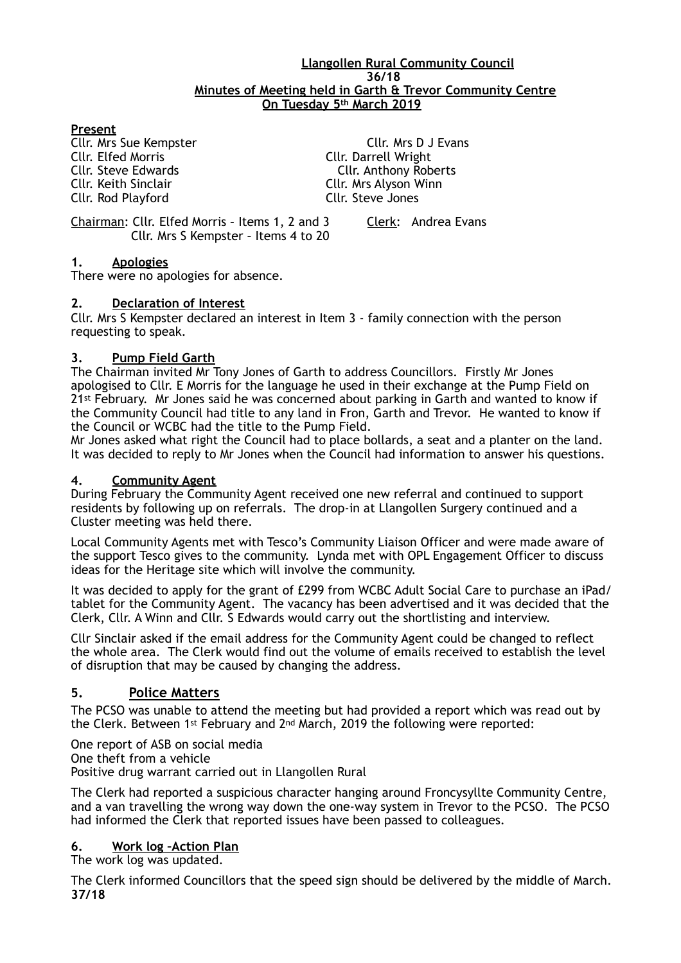#### **Llangollen Rural Community Council 36/18 Minutes of Meeting held in Garth & Trevor Community Centre On Tuesday 5th March 2019**

## **Present**

Cllr. Keith Sinclair Cllr. Mrs Alyson Winn Cllr. Rod Playford Cllr. Steve Jones

Cllr. Mrs Sue Kempster Cllr. Mrs D J Evans<br>Cllr. Elfed Morris Cllr. Darrell Wright Cllr. Darrell Wright Cllr. Steve Edwards Cllr. Anthony Roberts

Chairman: Cllr. Elfed Morris – Items 1, 2 and 3 Clerk: Andrea Evans Cllr. Mrs S Kempster – Items 4 to 20

## **1. Apologies**

There were no apologies for absence.

#### **2. Declaration of Interest**

Cllr. Mrs S Kempster declared an interest in Item 3 - family connection with the person requesting to speak.

#### **3. Pump Field Garth**

The Chairman invited Mr Tony Jones of Garth to address Councillors. Firstly Mr Jones apologised to Cllr. E Morris for the language he used in their exchange at the Pump Field on 21<sup>st</sup> February. Mr Jones said he was concerned about parking in Garth and wanted to know if the Community Council had title to any land in Fron, Garth and Trevor. He wanted to know if the Council or WCBC had the title to the Pump Field.

Mr Jones asked what right the Council had to place bollards, a seat and a planter on the land. It was decided to reply to Mr Jones when the Council had information to answer his questions.

#### **4. Community Agent**

During February the Community Agent received one new referral and continued to support residents by following up on referrals. The drop-in at Llangollen Surgery continued and a Cluster meeting was held there.

Local Community Agents met with Tesco's Community Liaison Officer and were made aware of the support Tesco gives to the community. Lynda met with OPL Engagement Officer to discuss ideas for the Heritage site which will involve the community.

It was decided to apply for the grant of £299 from WCBC Adult Social Care to purchase an iPad/ tablet for the Community Agent. The vacancy has been advertised and it was decided that the Clerk, Cllr. A Winn and Cllr. S Edwards would carry out the shortlisting and interview.

Cllr Sinclair asked if the email address for the Community Agent could be changed to reflect the whole area. The Clerk would find out the volume of emails received to establish the level of disruption that may be caused by changing the address.

## **5. Police Matters**

The PCSO was unable to attend the meeting but had provided a report which was read out by the Clerk. Between 1st February and 2nd March, 2019 the following were reported:

One report of ASB on social media One theft from a vehicle Positive drug warrant carried out in Llangollen Rural

The Clerk had reported a suspicious character hanging around Froncysyllte Community Centre, and a van travelling the wrong way down the one-way system in Trevor to the PCSO. The PCSO had informed the Clerk that reported issues have been passed to colleagues.

## **6. Work log –Action Plan**

The work log was updated.

The Clerk informed Councillors that the speed sign should be delivered by the middle of March. **37/18**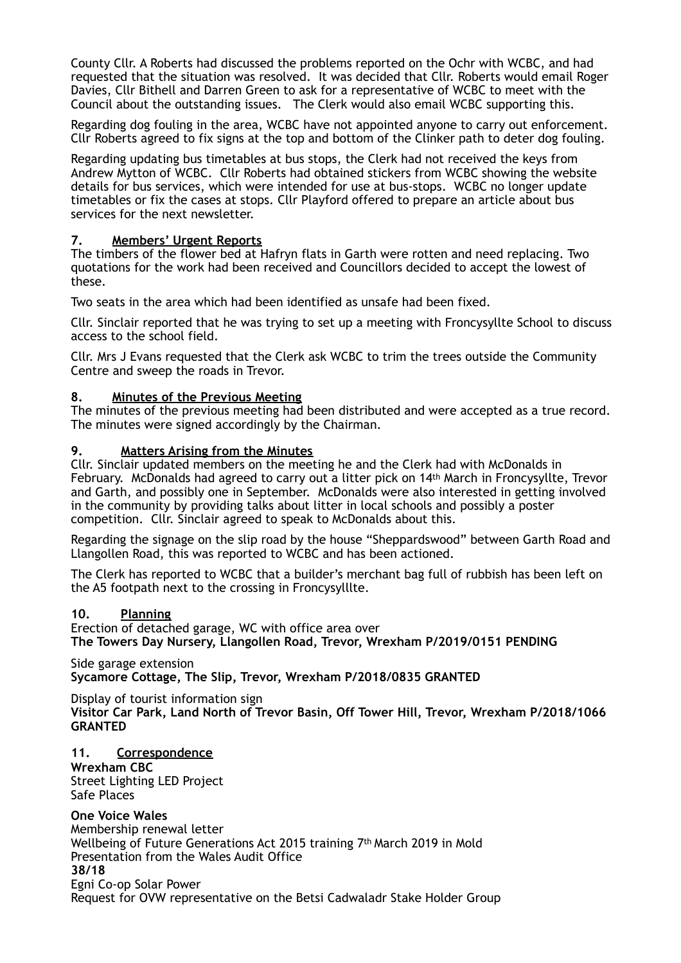County Cllr. A Roberts had discussed the problems reported on the Ochr with WCBC, and had requested that the situation was resolved. It was decided that Cllr. Roberts would email Roger Davies, Cllr Bithell and Darren Green to ask for a representative of WCBC to meet with the Council about the outstanding issues. The Clerk would also email WCBC supporting this.

Regarding dog fouling in the area, WCBC have not appointed anyone to carry out enforcement. Cllr Roberts agreed to fix signs at the top and bottom of the Clinker path to deter dog fouling.

Regarding updating bus timetables at bus stops, the Clerk had not received the keys from Andrew Mytton of WCBC. Cllr Roberts had obtained stickers from WCBC showing the website details for bus services, which were intended for use at bus-stops. WCBC no longer update timetables or fix the cases at stops. Cllr Playford offered to prepare an article about bus services for the next newsletter.

### **7. Members' Urgent Reports**

The timbers of the flower bed at Hafryn flats in Garth were rotten and need replacing. Two quotations for the work had been received and Councillors decided to accept the lowest of these.

Two seats in the area which had been identified as unsafe had been fixed.

Cllr. Sinclair reported that he was trying to set up a meeting with Froncysyllte School to discuss access to the school field.

Cllr. Mrs J Evans requested that the Clerk ask WCBC to trim the trees outside the Community Centre and sweep the roads in Trevor.

#### **8. Minutes of the Previous Meeting**

The minutes of the previous meeting had been distributed and were accepted as a true record. The minutes were signed accordingly by the Chairman.

#### **9. Matters Arising from the Minutes**

Cllr. Sinclair updated members on the meeting he and the Clerk had with McDonalds in February. McDonalds had agreed to carry out a litter pick on 14th March in Froncysyllte, Trevor and Garth, and possibly one in September. McDonalds were also interested in getting involved in the community by providing talks about litter in local schools and possibly a poster competition.Cllr. Sinclair agreed to speak to McDonalds about this.

Regarding the signage on the slip road by the house "Sheppardswood" between Garth Road and Llangollen Road, this was reported to WCBC and has been actioned.

The Clerk has reported to WCBC that a builder's merchant bag full of rubbish has been left on the A5 footpath next to the crossing in Froncysylllte.

#### **10. Planning**

Erection of detached garage, WC with office area over **The Towers Day Nursery, Llangollen Road, Trevor, Wrexham P/2019/0151 PENDING** 

Side garage extension **Sycamore Cottage, The Slip, Trevor, Wrexham P/2018/0835 GRANTED** 

Display of tourist information sign **Visitor Car Park, Land North of Trevor Basin, Off Tower Hill, Trevor, Wrexham P/2018/1066 GRANTED** 

#### **11. Correspondence**

**Wrexham CBC**  Street Lighting LED Project Safe Places

**One Voice Wales**  Membership renewal letter Wellbeing of Future Generations Act 2015 training 7th March 2019 in Mold

Presentation from the Wales Audit Office

**38/18**

Egni Co-op Solar Power

Request for OVW representative on the Betsi Cadwaladr Stake Holder Group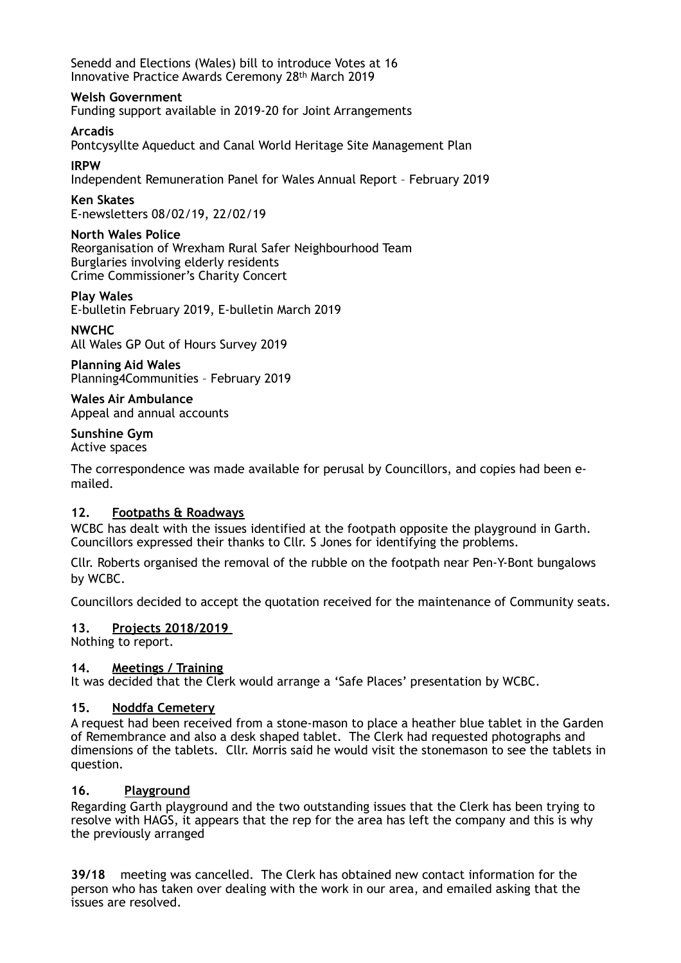Senedd and Elections (Wales) bill to introduce Votes at 16 Innovative Practice Awards Ceremony 28th March 2019

#### **Welsh Government**

Funding support available in 2019-20 for Joint Arrangements

#### **Arcadis**

Pontcysyllte Aqueduct and Canal World Heritage Site Management Plan

### **IRPW**

Independent Remuneration Panel for Wales Annual Report – February 2019

### **Ken Skates**

E-newsletters 08/02/19, 22/02/19

#### **North Wales Police**

Reorganisation of Wrexham Rural Safer Neighbourhood Team Burglaries involving elderly residents Crime Commissioner's Charity Concert

**Play Wales**  E-bulletin February 2019, E-bulletin March 2019

#### **NWCHC**

All Wales GP Out of Hours Survey 2019

**Planning Aid Wales**  Planning4Communities – February 2019

**Wales Air Ambulance**  Appeal and annual accounts

# **Sunshine Gym**

Active spaces

The correspondence was made available for perusal by Councillors, and copies had been emailed.

## **12. Footpaths & Roadways**

WCBC has dealt with the issues identified at the footpath opposite the playground in Garth. Councillors expressed their thanks to Cllr. S Jones for identifying the problems.

Cllr. Roberts organised the removal of the rubble on the footpath near Pen-Y-Bont bungalows by WCBC.

Councillors decided to accept the quotation received for the maintenance of Community seats.

## **13. Projects 2018/2019**

Nothing to report.

## **14. Meetings / Training**

It was decided that the Clerk would arrange a 'Safe Places' presentation by WCBC.

#### **15. Noddfa Cemetery**

A request had been received from a stone-mason to place a heather blue tablet in the Garden of Remembrance and also a desk shaped tablet. The Clerk had requested photographs and dimensions of the tablets. Cllr. Morris said he would visit the stonemason to see the tablets in question.

## **16. Playground**

Regarding Garth playground and the two outstanding issues that the Clerk has been trying to resolve with HAGS, it appears that the rep for the area has left the company and this is why the previously arranged

**39/18** meeting was cancelled. The Clerk has obtained new contact information for the person who has taken over dealing with the work in our area, and emailed asking that the issues are resolved.